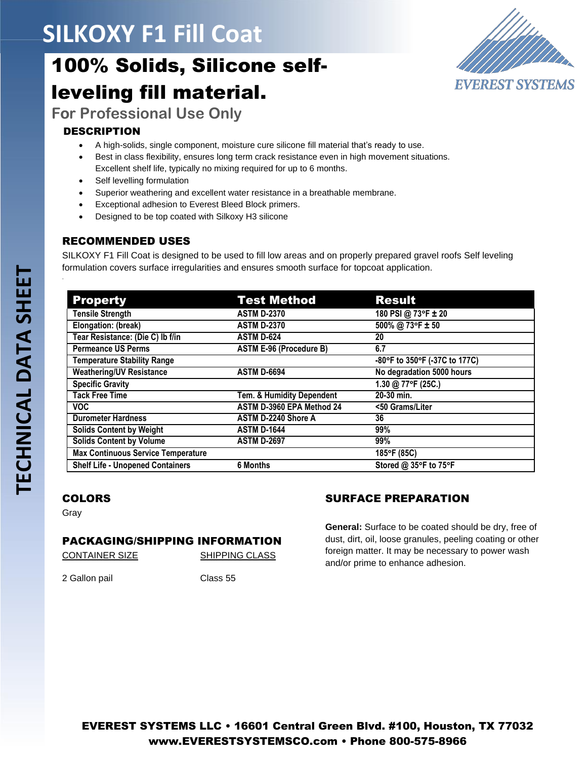# **SILKOXY F1 Fill Coat**

# 100% Solids, Silicone selfleveling fill material.



**For Professional Use Only**

### DESCRIPTION

- A high-solids, single component, moisture cure silicone fill material that's ready to use.
- Best in class flexibility, ensures long term crack resistance even in high movement situations. Excellent shelf life, typically no mixing required for up to 6 months.
- Self levelling formulation
- Superior weathering and excellent water resistance in a breathable membrane.
- Exceptional adhesion to Everest Bleed Block primers.
- Designed to be top coated with Silkoxy H3 silicone

### RECOMMENDED USES

SILKOXY F1 Fill Coat is designed to be used to fill low areas and on properly prepared gravel roofs Self leveling formulation covers surface irregularities and ensures smooth surface for topcoat application.

| <b>Property</b>                           | <b>Test Method</b>             | <b>Result</b>                 |
|-------------------------------------------|--------------------------------|-------------------------------|
| <b>Tensile Strength</b>                   | <b>ASTM D-2370</b>             | 180 PSI @ 73°F ± 20           |
| Elongation: (break)                       | <b>ASTM D-2370</b>             | 500% @ 73°F ± 50              |
| Tear Resistance: (Die C) lb f/in          | <b>ASTM D-624</b>              | 20                            |
| <b>Permeance US Perms</b>                 | <b>ASTM E-96 (Procedure B)</b> | 6.7                           |
| <b>Temperature Stability Range</b>        |                                | -80°F to 350°F (-37C to 177C) |
| <b>Weathering/UV Resistance</b>           | <b>ASTM D-6694</b>             | No degradation 5000 hours     |
| <b>Specific Gravity</b>                   |                                | 1.30 @ 77°F (25C.)            |
| <b>Tack Free Time</b>                     | Tem. & Humidity Dependent      | 20-30 min.                    |
| VOC.                                      | ASTM D-3960 EPA Method 24      | <50 Grams/Liter               |
| <b>Durometer Hardness</b>                 | ASTM D-2240 Shore A            | 36                            |
| <b>Solids Content by Weight</b>           | <b>ASTM D-1644</b>             | 99%                           |
| <b>Solids Content by Volume</b>           | <b>ASTM D-2697</b>             | 99%                           |
| <b>Max Continuous Service Temperature</b> |                                | 185°F (85C)                   |
| <b>Shelf Life - Unopened Containers</b>   | 6 Months                       | Stored @ 35°F to 75°F         |

## COLORS

Gray

#### PACKAGING/SHIPPING INFORMATION

CONTAINER SIZE SHIPPING CLASS

2 Gallon pail Class 55

## SURFACE PREPARATION

**General:** Surface to be coated should be dry, free of dust, dirt, oil, loose granules, peeling coating or other foreign matter. It may be necessary to power wash and/or prime to enhance adhesion.

.

EVEREST SYSTEMS LLC • 16601 Central Green Blvd. #100, Houston, TX 77032 [www.EVERESTSYSTEMSCO.com](http://www.everestsystemsco.com/) • Phone 800-575-8966